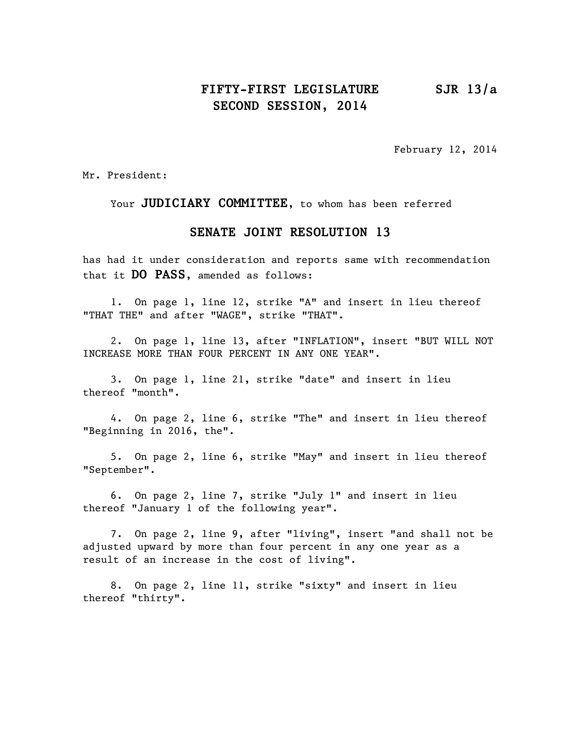## **FIFTY-FIRST LEGISLATURE SJR 13/a SECOND SESSION, 2014**

February 12, 2014

Mr. President:

Your **JUDICIARY COMMITTEE**, to whom has been referred

## **SENATE JOINT RESOLUTION 13**

has had it under consideration and reports same with recommendation that it **DO PASS**, amended as follows:

1. On page 1, line 12, strike "A" and insert in lieu thereof "THAT THE" and after "WAGE", strike "THAT".

2. On page 1, line 13, after "INFLATION", insert "BUT WILL NOT INCREASE MORE THAN FOUR PERCENT IN ANY ONE YEAR".

3. On page 1, line 21, strike "date" and insert in lieu thereof "month".

4. On page 2, line 6, strike "The" and insert in lieu thereof "Beginning in 2016, the".

5. On page 2, line 6, strike "May" and insert in lieu thereof "September".

6. On page 2, line 7, strike "July 1" and insert in lieu thereof "January 1 of the following year".

7. On page 2, line 9, after "living", insert "and shall not be adjusted upward by more than four percent in any one year as a result of an increase in the cost of living".

8. On page 2, line 11, strike "sixty" and insert in lieu thereof "thirty".